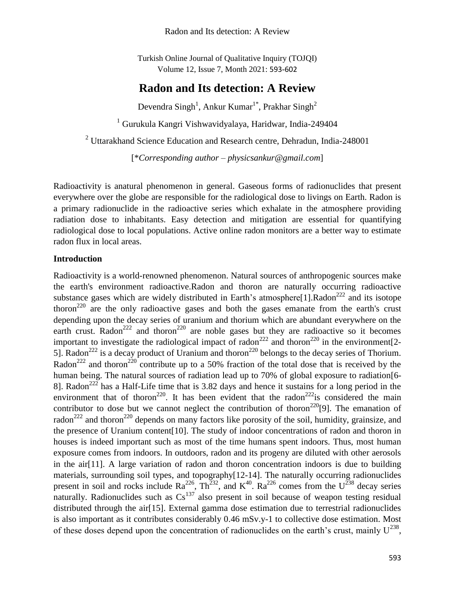Radon and Its detection: A Review

Turkish Online Journal of Qualitative Inquiry (TOJQI) Volume 12, Issue 7, Month 2021: 593-602

# **Radon and Its detection: A Review**

Devendra Singh<sup>1</sup>, Ankur Kumar<sup>1\*</sup>, Prakhar Singh<sup>2</sup>

<sup>1</sup> Gurukula Kangri Vishwavidyalaya, Haridwar, India-249404

<sup>2</sup> Uttarakhand Science Education and Research centre, Dehradun, India-248001

[\**Corresponding author – physicsankur@gmail.com*]

Radioactivity is anatural phenomenon in general. Gaseous forms of radionuclides that present everywhere over the globe are responsible for the radiological dose to livings on Earth. Radon is a primary radionuclide in the radioactive series which exhalate in the atmosphere providing radiation dose to inhabitants. Easy detection and mitigation are essential for quantifying radiological dose to local populations. Active online radon monitors are a better way to estimate radon flux in local areas.

### **Introduction**

Radioactivity is a world-renowned phenomenon. Natural sources of anthropogenic sources make the earth's environment radioactive.Radon and thoron are naturally occurring radioactive substance gases which are widely distributed in Earth's atmosphere [1]. Radon<sup>222</sup> and its isotope thoron<sup>220</sup> are the only radioactive gases and both the gases emanate from the earth's crust depending upon the decay series of uranium and thorium which are abundant everywhere on the earth crust. Radon<sup>222</sup> and thoron<sup>220</sup> are noble gases but they are radioactive so it becomes important to investigate the radiological impact of radon<sup>222</sup> and thoron<sup>220</sup> in the environment[2-5]. Radon<sup>222</sup> is a decay product of Uranium and thoron<sup>220</sup> belongs to the decay series of Thorium. Radon<sup>222</sup> and thoron<sup>220</sup> contribute up to a 50% fraction of the total dose that is received by the human being. The natural sources of radiation lead up to 70% of global exposure to radiation [6-8]. Radon<sup>222</sup> has a Half-Life time that is 3.82 days and hence it sustains for a long period in the environment that of thoron<sup>220</sup>. It has been evident that the radon<sup>222</sup>is considered the main contributor to dose but we cannot neglect the contribution of thoron<sup>220</sup>[9]. The emanation of radon<sup>222</sup> and thoron<sup>220</sup> depends on many factors like porosity of the soil, humidity, grainsize, and the presence of Uranium content[10]. The study of indoor concentrations of radon and thoron in houses is indeed important such as most of the time humans spent indoors. Thus, most human exposure comes from indoors. In outdoors, radon and its progeny are diluted with other aerosols in the air[11]. A large variation of radon and thoron concentration indoors is due to building materials, surrounding soil types, and topography[12-14]. The naturally occurring radionuclides present in soil and rocks include  $Ra^{226}$ , Th<sup>232</sup>, and  $K^{40}$ .  $Ra^{226}$  comes from the U<sup>238</sup> decay series naturally. Radionuclides such as  $Cs^{137}$  also present in soil because of weapon testing residual distributed through the air[15]. External gamma dose estimation due to terrestrial radionuclides is also important as it contributes considerably 0.46 mSv.y-1 to collective dose estimation. Most of these doses depend upon the concentration of radionuclides on the earth's crust, mainly  $U^{238}$ ,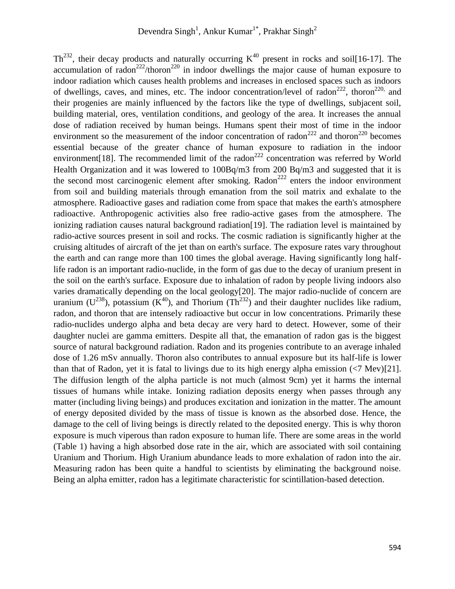Th<sup>232</sup>, their decay products and naturally occurring  $K^{40}$  present in rocks and soil[16-17]. The accumulation of radon<sup>222</sup>/thoron<sup>220</sup> in indoor dwellings the major cause of human exposure to indoor radiation which causes health problems and increases in enclosed spaces such as indoors of dwellings, caves, and mines, etc. The indoor concentration/level of radon<sup>222</sup>, thoron<sup>220,</sup> and their progenies are mainly influenced by the factors like the type of dwellings, subjacent soil, building material, ores, ventilation conditions, and geology of the area. It increases the annual dose of radiation received by human beings. Humans spent their most of time in the indoor environment so the measurement of the indoor concentration of radon<sup>222</sup> and thoron<sup>220</sup> becomes essential because of the greater chance of human exposure to radiation in the indoor environment<sup>[18]</sup>. The recommended limit of the radon<sup>222</sup> concentration was referred by World Health Organization and it was lowered to 100Bq/m3 from 200 Bq/m3 and suggested that it is the second most carcinogenic element after smoking. Radon<sup>222</sup> enters the indoor environment from soil and building materials through emanation from the soil matrix and exhalate to the atmosphere. Radioactive gases and radiation come from space that makes the earth's atmosphere radioactive. Anthropogenic activities also free radio-active gases from the atmosphere. The ionizing radiation causes natural background radiation[19]. The radiation level is maintained by radio-active sources present in soil and rocks. The cosmic radiation is significantly higher at the cruising altitudes of aircraft of the jet than on earth's surface. The exposure rates vary throughout the earth and can range more than 100 times the global average. Having significantly long halflife radon is an important radio-nuclide, in the form of gas due to the decay of uranium present in the soil on the earth's surface. Exposure due to inhalation of radon by people living indoors also varies dramatically depending on the local geology[20]. The major radio-nuclide of concern are uranium ( $U^{238}$ ), potassium ( $K^{40}$ ), and Thorium (Th<sup>232</sup>) and their daughter nuclides like radium, radon, and thoron that are intensely radioactive but occur in low concentrations. Primarily these radio-nuclides undergo alpha and beta decay are very hard to detect. However, some of their daughter nuclei are gamma emitters. Despite all that, the emanation of radon gas is the biggest source of natural background radiation. Radon and its progenies contribute to an average inhaled dose of 1.26 mSv annually. Thoron also contributes to annual exposure but its half-life is lower than that of Radon, yet it is fatal to livings due to its high energy alpha emission  $\langle \langle 7 \text{ Mev} \rangle$ [21]. The diffusion length of the alpha particle is not much (almost 9cm) yet it harms the internal tissues of humans while intake. Ionizing radiation deposits energy when passes through any matter (including living beings) and produces excitation and ionization in the matter. The amount of energy deposited divided by the mass of tissue is known as the absorbed dose. Hence, the damage to the cell of living beings is directly related to the deposited energy. This is why thoron exposure is much viperous than radon exposure to human life. There are some areas in the world (Table 1) having a high absorbed dose rate in the air, which are associated with soil containing Uranium and Thorium. High Uranium abundance leads to more exhalation of radon into the air. Measuring radon has been quite a handful to scientists by eliminating the background noise. Being an alpha emitter, radon has a legitimate characteristic for scintillation-based detection.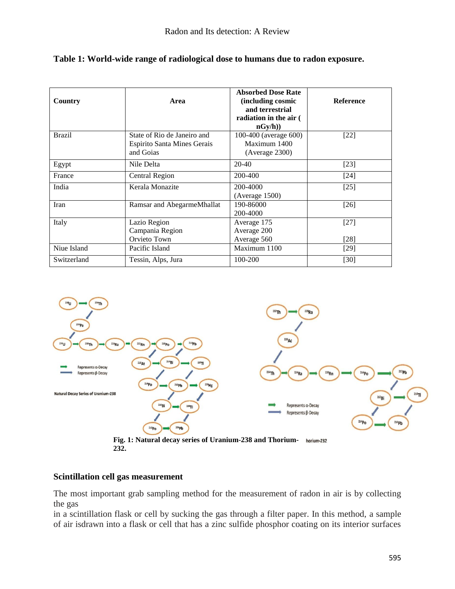| Country       | Area                                                                           | <b>Absorbed Dose Rate</b><br>(including cosmic<br>and terrestrial | <b>Reference</b> |
|---------------|--------------------------------------------------------------------------------|-------------------------------------------------------------------|------------------|
|               |                                                                                | radiation in the air (<br>nGy/h)                                  |                  |
| <b>Brazil</b> | State of Rio de Janeiro and<br><b>Espirito Santa Mines Gerais</b><br>and Goias | 100-400 (average 600)<br>Maximum 1400<br>(Average 2300)           | [22]             |
| Egypt         | Nile Delta                                                                     | $20-40$                                                           | $[23]$           |
| France        | <b>Central Region</b>                                                          | 200-400                                                           | $[24]$           |
| India         | Kerala Monazite                                                                | 200-4000<br>(Average 1500)                                        | $[25]$           |
| Iran          | Ramsar and AbegarmeMhallat                                                     | 190-86000<br>200-4000                                             | $[26]$           |
| Italy         | Lazio Region<br>Campania Region<br>Orvieto Town                                | Average 175<br>Average 200<br>Average 560                         | $[27]$<br>[28]   |
| Niue Island   | Pacific Island                                                                 | Maximum 1100                                                      | $[29]$           |
| Switzerland   | Tessin, Alps, Jura                                                             | 100-200                                                           | [30]             |

**Table 1: World-wide range of radiological dose to humans due to radon exposure.**



**232.**

#### **Scintillation cell gas measurement**

The most important grab sampling method for the measurement of radon in air is by collecting the gas

in a scintillation flask or cell by sucking the gas through a filter paper. In this method, a sample of air isdrawn into a flask or cell that has a zinc sulfide phosphor coating on its interior surfaces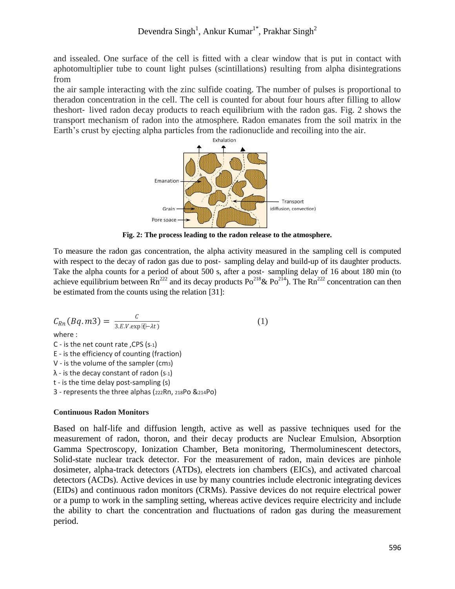and issealed. One surface of the cell is fitted with a clear window that is put in contact with aphotomultiplier tube to count light pulses (scintillations) resulting from alpha disintegrations from

the air sample interacting with the zinc sulfide coating. The number of pulses is proportional to theradon concentration in the cell. The cell is counted for about four hours after filling to allow theshort‐ lived radon decay products to reach equilibrium with the radon gas. Fig. 2 shows the transport mechanism of radon into the atmosphere. Radon emanates from the soil matrix in the Earth's crust by ejecting alpha particles from the radionuclide and recoiling into the air.



**Fig. 2: The process leading to the radon release to the atmosphere.**

To measure the radon gas concentration, the alpha activity measured in the sampling cell is computed with respect to the decay of radon gas due to post-sampling delay and build-up of its daughter products. Take the alpha counts for a period of about 500 s, after a post-sampling delay of 16 about 180 min (to achieve equilibrium between  $\text{Rn}^{222}$  and its decay products  $\text{Po}^{218}$ &  $\text{Po}^{214}$ ). The  $\text{Rn}^{222}$  concentration can then be estimated from the counts using the relation [31]:

$$
C_{Rn}(Bq.m3) = \frac{c}{3.E.V.\exp{\mathbb{E}[-\lambda t)}}\tag{1}
$$

where :

C ‐ is the net count rate ,CPS (s‐1) E ‐ is the efficiency of counting (fraction) V ‐ is the volume of the sampler (cm3)  $\lambda$  - is the decay constant of radon (s-1) t ‐ is the time delay post‐sampling (s)

3 ‐ represents the three alphas (222Rn, 218Po &214Po)

#### **Continuous Radon Monitors**

Based on half-life and diffusion length, active as well as passive techniques used for the measurement of radon, thoron, and their decay products are Nuclear Emulsion, Absorption Gamma Spectroscopy, Ionization Chamber, Beta monitoring, Thermoluminescent detectors, Solid-state nuclear track detector. For the measurement of radon, main devices are pinhole dosimeter, alpha-track detectors (ATDs), electrets ion chambers (EICs), and activated charcoal detectors (ACDs). Active devices in use by many countries include electronic integrating devices (EIDs) and continuous radon monitors (CRMs). Passive devices do not require electrical power or a pump to work in the sampling setting, whereas active devices require electricity and include the ability to chart the concentration and fluctuations of radon gas during the measurement period.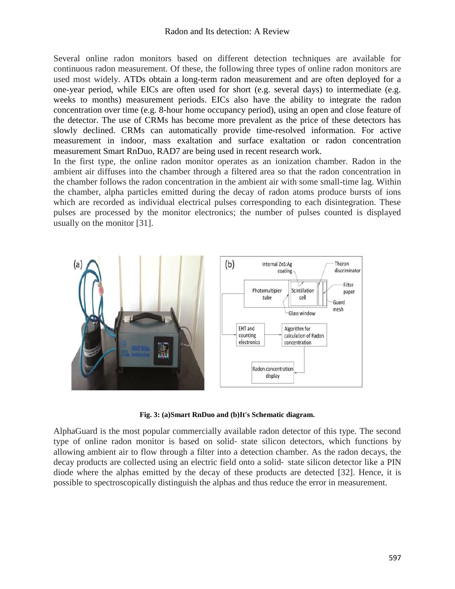Several online radon monitors based on different detection techniques are available for continuous radon measurement. Of these, the following three types of online radon monitors are used most widely. ATDs obtain a long-term radon measurement and are often deployed for a one-year period, while EICs are often used for short (e.g. several days) to intermediate (e.g. weeks to months) measurement periods. EICs also have the ability to integrate the radon concentration over time (e.g. 8-hour home occupancy period), using an open and close feature of the detector. The use of CRMs has become more prevalent as the price of these detectors has slowly declined. CRMs can automatically provide time-resolved information. For active measurement in indoor, mass exaltation and surface exaltation or radon concentration measurement Smart RnDuo, RAD7 are being used in recent research work.

In the first type, the online radon monitor operates as an ionization chamber. Radon in the ambient air diffuses into the chamber through a filtered area so that the radon concentration in the chamber follows the radon concentration in the ambient air with some small-time lag. Within the chamber, alpha particles emitted during the decay of radon atoms produce bursts of ions which are recorded as individual electrical pulses corresponding to each disintegration. These pulses are processed by the monitor electronics; the number of pulses counted is displayed usually on the monitor [31].



**Fig. 3: (a)Smart RnDuo and (b)It's Schematic diagram.**

AlphaGuard is the most popular commercially available radon detector of this type. The second type of online radon monitor is based on solid‐ state silicon detectors, which functions by allowing ambient air to flow through a filter into a detection chamber. As the radon decays, the decay products are collected using an electric field onto a solid‐ state silicon detector like a PIN diode where the alphas emitted by the decay of these products are detected [32]. Hence, it is possible to spectroscopically distinguish the alphas and thus reduce the error in measurement.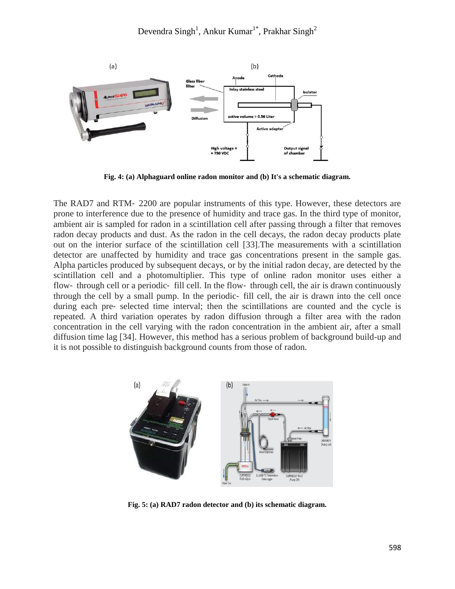

**Fig. 4: (a) Alphaguard online radon monitor and (b) It's a schematic diagram.**

The RAD7 and RTM‐ 2200 are popular instruments of this type. However, these detectors are prone to interference due to the presence of humidity and trace gas. In the third type of monitor, ambient air is sampled for radon in a scintillation cell after passing through a filter that removes radon decay products and dust. As the radon in the cell decays, the radon decay products plate out on the interior surface of the scintillation cell [33].The measurements with a scintillation detector are unaffected by humidity and trace gas concentrations present in the sample gas. Alpha particles produced by subsequent decays, or by the initial radon decay, are detected by the scintillation cell and a photomultiplier. This type of online radon monitor uses either a flow- through cell or a periodic- fill cell. In the flow- through cell, the air is drawn continuously through the cell by a small pump. In the periodic‐ fill cell, the air is drawn into the cell once during each pre‐ selected time interval; then the scintillations are counted and the cycle is repeated. A third variation operates by radon diffusion through a filter area with the radon concentration in the cell varying with the radon concentration in the ambient air, after a small diffusion time lag [34]. However, this method has a serious problem of background build-up and it is not possible to distinguish background counts from those of radon.



**Fig. 5: (a) RAD7 radon detector and (b) its schematic diagram.**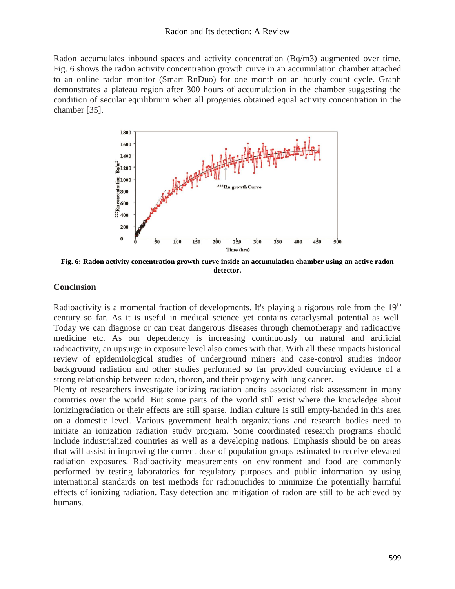Radon accumulates inbound spaces and activity concentration (Bq/m3) augmented over time. Fig. 6 shows the radon activity concentration growth curve in an accumulation chamber attached to an online radon monitor (Smart RnDuo) for one month on an hourly count cycle. Graph demonstrates a plateau region after 300 hours of accumulation in the chamber suggesting the condition of secular equilibrium when all progenies obtained equal activity concentration in the chamber [35].



**Fig. 6: Radon activity concentration growth curve inside an accumulation chamber using an active radon detector.**

#### **Conclusion**

Radioactivity is a momental fraction of developments. It's playing a rigorous role from the  $19<sup>th</sup>$ century so far. As it is useful in medical science yet contains cataclysmal potential as well. Today we can diagnose or can treat dangerous diseases through chemotherapy and radioactive medicine etc. As our dependency is increasing continuously on natural and artificial radioactivity, an upsurge in exposure level also comes with that. With all these impacts historical review of epidemiological studies of underground miners and case-control studies indoor background radiation and other studies performed so far provided convincing evidence of a strong relationship between radon, thoron, and their progeny with lung cancer.

Plenty of researchers investigate ionizing radiation andits associated risk assessment in many countries over the world. But some parts of the world still exist where the knowledge about ionizingradiation or their effects are still sparse. Indian culture is still empty-handed in this area on a domestic level. Various government health organizations and research bodies need to initiate an ionization radiation study program. Some coordinated research programs should include industrialized countries as well as a developing nations. Emphasis should be on areas that will assist in improving the current dose of population groups estimated to receive elevated radiation exposures. Radioactivity measurements on environment and food are commonly performed by testing laboratories for regulatory purposes and public information by using international standards on test methods for radionuclides to minimize the potentially harmful effects of ionizing radiation. Easy detection and mitigation of radon are still to be achieved by humans.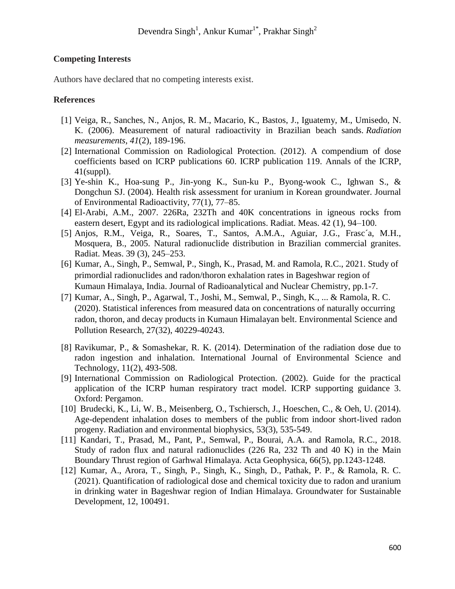# **Competing Interests**

Authors have declared that no competing interests exist.

## **References**

- [1] Veiga, R., Sanches, N., Anjos, R. M., Macario, K., Bastos, J., Iguatemy, M., Umisedo, N. K. (2006). Measurement of natural radioactivity in Brazilian beach sands. *Radiation measurements*, *41*(2), 189-196.
- [2] International Commission on Radiological Protection. (2012). A compendium of dose coefficients based on ICRP publications 60. ICRP publication 119. Annals of the ICRP, 41(suppl).
- [3] Ye-shin K., Hoa-sung P., Jin-yong K., Sun-ku P., Byong-wook C., Ighwan S., & Dongchun SJ. (2004). Health risk assessment for uranium in Korean groundwater. Journal of Environmental Radioactivity, 77(1), 77–85.
- [4] El-Arabi, A.M., 2007. 226Ra, 232Th and 40K concentrations in igneous rocks from eastern desert, Egypt and its radiological implications. Radiat. Meas. 42 (1), 94–100.
- [5] Anjos, R.M., Veiga, R., Soares, T., Santos, A.M.A., Aguiar, J.G., Frasc´a, M.H., Mosquera, B., 2005. Natural radionuclide distribution in Brazilian commercial granites. Radiat. Meas. 39 (3), 245–253.
- [6] Kumar, A., Singh, P., Semwal, P., Singh, K., Prasad, M. and Ramola, R.C., 2021. Study of primordial radionuclides and radon/thoron exhalation rates in Bageshwar region of Kumaun Himalaya, India. Journal of Radioanalytical and Nuclear Chemistry, pp.1-7.
- [7] Kumar, A., Singh, P., Agarwal, T., Joshi, M., Semwal, P., Singh, K., ... & Ramola, R. C. (2020). Statistical inferences from measured data on concentrations of naturally occurring radon, thoron, and decay products in Kumaun Himalayan belt. Environmental Science and Pollution Research, 27(32), 40229-40243.
- [8] Ravikumar, P., & Somashekar, R. K. (2014). Determination of the radiation dose due to radon ingestion and inhalation. International Journal of Environmental Science and Technology, 11(2), 493-508.
- [9] International Commission on Radiological Protection. (2002). Guide for the practical application of the ICRP human respiratory tract model. ICRP supporting guidance 3. Oxford: Pergamon.
- [10] Brudecki, K., Li, W. B., Meisenberg, O., Tschiersch, J., Hoeschen, C., & Oeh, U. (2014). Age-dependent inhalation doses to members of the public from indoor short-lived radon progeny. Radiation and environmental biophysics, 53(3), 535-549.
- [11] Kandari, T., Prasad, M., Pant, P., Semwal, P., Bourai, A.A. and Ramola, R.C., 2018. Study of radon flux and natural radionuclides (226 Ra, 232 Th and 40 K) in the Main Boundary Thrust region of Garhwal Himalaya. Acta Geophysica, 66(5), pp.1243-1248.
- [12] Kumar, A., Arora, T., Singh, P., Singh, K., Singh, D., Pathak, P. P., & Ramola, R. C. (2021). Quantification of radiological dose and chemical toxicity due to radon and uranium in drinking water in Bageshwar region of Indian Himalaya. Groundwater for Sustainable Development, 12, 100491.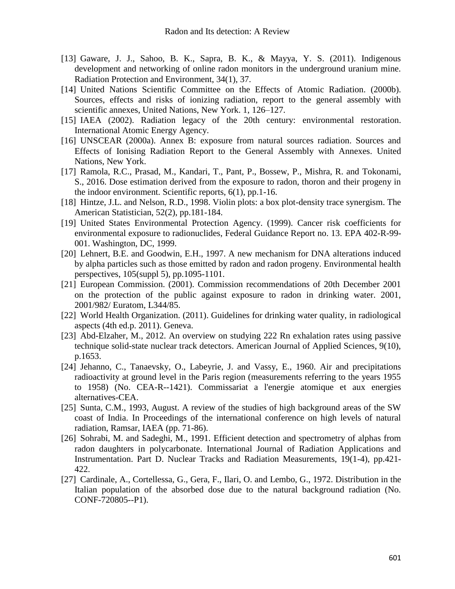- [13] Gaware, J. J., Sahoo, B. K., Sapra, B. K., & Mayya, Y. S. (2011). Indigenous development and networking of online radon monitors in the underground uranium mine. Radiation Protection and Environment, 34(1), 37.
- [14] United Nations Scientific Committee on the Effects of Atomic Radiation. (2000b). Sources, effects and risks of ionizing radiation, report to the general assembly with scientific annexes, United Nations, New York. 1, 126–127.
- [15] IAEA (2002). Radiation legacy of the 20th century: environmental restoration. International Atomic Energy Agency.
- [16] UNSCEAR (2000a). Annex B: exposure from natural sources radiation. Sources and Effects of Ionising Radiation Report to the General Assembly with Annexes. United Nations, New York.
- [17] Ramola, R.C., Prasad, M., Kandari, T., Pant, P., Bossew, P., Mishra, R. and Tokonami, S., 2016. Dose estimation derived from the exposure to radon, thoron and their progeny in the indoor environment. Scientific reports, 6(1), pp.1-16.
- [18] Hintze, J.L. and Nelson, R.D., 1998. Violin plots: a box plot-density trace synergism. The American Statistician, 52(2), pp.181-184.
- [19] United States Environmental Protection Agency. (1999). Cancer risk coefficients for environmental exposure to radionuclides, Federal Guidance Report no. 13. EPA 402-R-99- 001. Washington, DC, 1999.
- [20] Lehnert, B.E. and Goodwin, E.H., 1997. A new mechanism for DNA alterations induced by alpha particles such as those emitted by radon and radon progeny. Environmental health perspectives, 105(suppl 5), pp.1095-1101.
- [21] European Commission. (2001). Commission recommendations of 20th December 2001 on the protection of the public against exposure to radon in drinking water. 2001, 2001/982/ Euratom, L344/85.
- [22] World Health Organization. (2011). Guidelines for drinking water quality, in radiological aspects (4th ed.p. 2011). Geneva.
- [23] Abd-Elzaher, M., 2012. An overview on studying 222 Rn exhalation rates using passive technique solid-state nuclear track detectors. American Journal of Applied Sciences, 9(10), p.1653.
- [24] Jehanno, C., Tanaevsky, O., Labeyrie, J. and Vassy, E., 1960. Air and precipitations radioactivity at ground level in the Paris region (measurements referring to the years 1955 to 1958) (No. CEA-R--1421). Commissariat a l'energie atomique et aux energies alternatives-CEA.
- [25] Sunta, C.M., 1993, August. A review of the studies of high background areas of the SW coast of India. In Proceedings of the international conference on high levels of natural radiation, Ramsar, IAEA (pp. 71-86).
- [26] Sohrabi, M. and Sadeghi, M., 1991. Efficient detection and spectrometry of alphas from radon daughters in polycarbonate. International Journal of Radiation Applications and Instrumentation. Part D. Nuclear Tracks and Radiation Measurements, 19(1-4), pp.421- 422.
- [27] Cardinale, A., Cortellessa, G., Gera, F., Ilari, O. and Lembo, G., 1972. Distribution in the Italian population of the absorbed dose due to the natural background radiation (No. CONF-720805--P1).